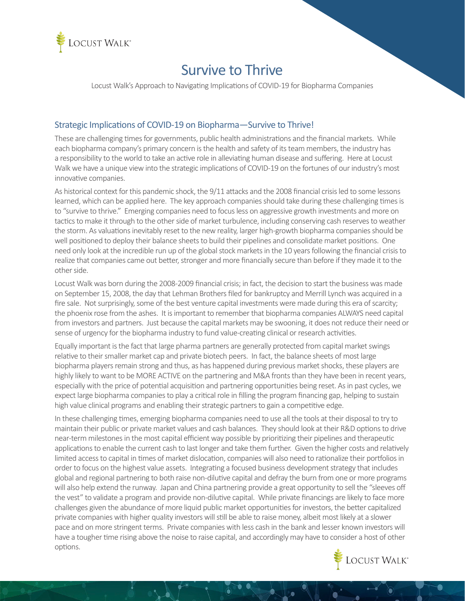

# Survive to Thrive

Locust Walk's Approach to Navigating Implications of COVID-19 for Biopharma Companies

#### Strategic Implications of COVID-19 on Biopharma—Survive to Thrive!

These are challenging times for governments, public health administrations and the financial markets. While each biopharma company's primary concern is the health and safety of its team members, the industry has a responsibility to the world to take an active role in alleviating human disease and suffering. Here at Locust Walk we have a unique view into the strategic implications of COVID-19 on the fortunes of our industry's most innovative companies.

As historical context for this pandemic shock, the 9/11 attacks and the 2008 financial crisis led to some lessons learned, which can be applied here. The key approach companies should take during these challenging times is to "survive to thrive." Emerging companies need to focus less on aggressive growth investments and more on tactics to make it through to the other side of market turbulence, including conserving cash reserves to weather the storm. As valuations inevitably reset to the new reality, larger high-growth biopharma companies should be well positioned to deploy their balance sheets to build their pipelines and consolidate market positions. One need only look at the incredible run up of the global stock markets in the 10 years following the financial crisis to realize that companies came out better, stronger and more financially secure than before if they made it to the other side.

Locust Walk was born during the 2008-2009 financial crisis; in fact, the decision to start the business was made on September 15, 2008, the day that Lehman Brothers filed for bankruptcy and Merrill Lynch was acquired in a fire sale. Not surprisingly, some of the best venture capital investments were made during this era of scarcity; the phoenix rose from the ashes. It is important to remember that biopharma companies ALWAYS need capital from investors and partners. Just because the capital markets may be swooning, it does not reduce their need or sense of urgency for the biopharma industry to fund value-creating clinical or research activities.

Equally important is the fact that large pharma partners are generally protected from capital market swings relative to their smaller market cap and private biotech peers. In fact, the balance sheets of most large biopharma players remain strong and thus, as has happened during previous market shocks, these players are highly likely to want to be MORE ACTIVE on the partnering and M&A fronts than they have been in recent years, especially with the price of potential acquisition and partnering opportunities being reset. As in past cycles, we expect large biopharma companies to play a critical role in filling the program financing gap, helping to sustain high value clinical programs and enabling their strategic partners to gain a competitive edge.

In these challenging times, emerging biopharma companies need to use all the tools at their disposal to try to maintain their public or private market values and cash balances. They should look at their R&D options to drive near-term milestones in the most capital efficient way possible by prioritizing their pipelines and therapeutic applications to enable the current cash to last longer and take them further. Given the higher costs and relatively limited access to capital in times of market dislocation, companies will also need to rationalize their portfolios in order to focus on the highest value assets. Integrating a focused business development strategy that includes global and regional partnering to both raise non-dilutive capital and defray the burn from one or more programs will also help extend the runway. Japan and China partnering provide a great opportunity to sell the "sleeves off the vest" to validate a program and provide non-dilutive capital. While private financings are likely to face more challenges given the abundance of more liquid public market opportunities for investors, the better capitalized private companies with higher quality investors will still be able to raise money, albeit most likely at a slower pace and on more stringent terms. Private companies with less cash in the bank and lesser known investors will have a tougher time rising above the noise to raise capital, and accordingly may have to consider a host of other options.

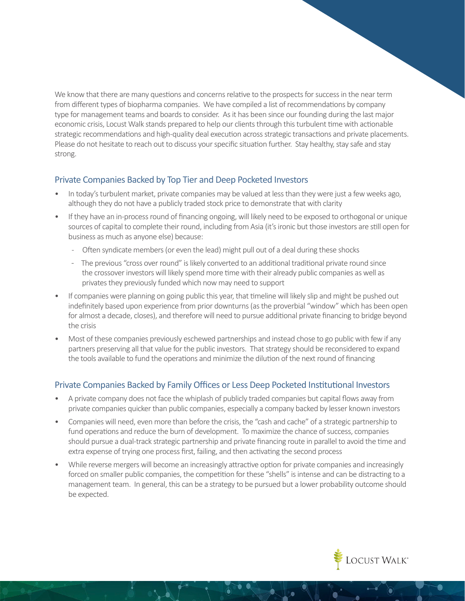We know that there are many questions and concerns relative to the prospects for success in the near term from different types of biopharma companies. We have compiled a list of recommendations by company type for management teams and boards to consider. As it has been since our founding during the last major economic crisis, Locust Walk stands prepared to help our clients through this turbulent time with actionable strategic recommendations and high-quality deal execution across strategic transactions and private placements. Please do not hesitate to reach out to discuss your specific situation further. Stay healthy, stay safe and stay strong.

#### Private Companies Backed by Top Tier and Deep Pocketed Investors

- In today's turbulent market, private companies may be valued at less than they were just a few weeks ago, although they do not have a publicly traded stock price to demonstrate that with clarity
- If they have an in-process round of financing ongoing, will likely need to be exposed to orthogonal or unique sources of capital to complete their round, including from Asia (it's ironic but those investors are still open for business as much as anyone else) because:
	- Often syndicate members (or even the lead) might pull out of a deal during these shocks
	- The previous "cross over round" is likely converted to an additional traditional private round since the crossover investors will likely spend more time with their already public companies as well as privates they previously funded which now may need to support
- If companies were planning on going public this year, that timeline will likely slip and might be pushed out indefinitely based upon experience from prior downturns (as the proverbial "window" which has been open for almost a decade, closes), and therefore will need to pursue additional private financing to bridge beyond the crisis
- Most of these companies previously eschewed partnerships and instead chose to go public with few if any partners preserving all that value for the public investors. That strategy should be reconsidered to expand the tools available to fund the operations and minimize the dilution of the next round of financing

#### Private Companies Backed by Family Offices or Less Deep Pocketed Institutional Investors

- A private company does not face the whiplash of publicly traded companies but capital flows away from private companies quicker than public companies, especially a company backed by lesser known investors
- Companies will need, even more than before the crisis, the "cash and cache" of a strategic partnership to fund operations and reduce the burn of development. To maximize the chance of success, companies should pursue a dual-track strategic partnership and private financing route in parallel to avoid the time and extra expense of trying one process first, failing, and then activating the second process
- While reverse mergers will become an increasingly attractive option for private companies and increasingly forced on smaller public companies, the competition for these "shells" is intense and can be distracting to a management team. In general, this can be a strategy to be pursued but a lower probability outcome should be expected.

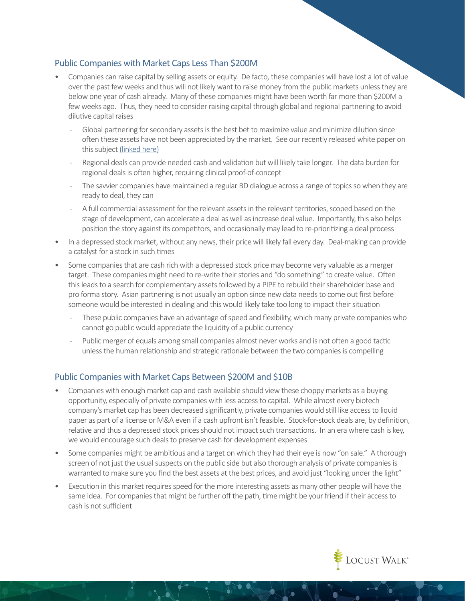## Public Companies with Market Caps Less Than \$200M

- Companies can raise capital by selling assets or equity. De facto, these companies will have lost a lot of value over the past few weeks and thus will not likely want to raise money from the public markets unless they are below one year of cash already. Many of these companies might have been worth far more than \$200M a few weeks ago. Thus, they need to consider raising capital through global and regional partnering to avoid dilutive capital raises
	- Global partnering for secondary assets is the best bet to maximize value and minimize dilution since often these assets have not been appreciated by the market. See our recently released white paper on this subject [\(linked here\)](https://www.locustwalk.com/deal-theory/)
	- Regional deals can provide needed cash and validation but will likely take longer. The data burden for regional deals is often higher, requiring clinical proof-of-concept
	- The savvier companies have maintained a regular BD dialogue across a range of topics so when they are ready to deal, they can
	- A full commercial assessment for the relevant assets in the relevant territories, scoped based on the stage of development, can accelerate a deal as well as increase deal value. Importantly, this also helps position the story against its competitors, and occasionally may lead to re-prioritizing a deal process
- In a depressed stock market, without any news, their price will likely fall every day. Deal-making can provide a catalyst for a stock in such times
- Some companies that are cash rich with a depressed stock price may become very valuable as a merger target. These companies might need to re-write their stories and "do something" to create value. Often this leads to a search for complementary assets followed by a PIPE to rebuild their shareholder base and pro forma story. Asian partnering is not usually an option since new data needs to come out first before someone would be interested in dealing and this would likely take too long to impact their situation
	- These public companies have an advantage of speed and flexibility, which many private companies who cannot go public would appreciate the liquidity of a public currency
	- Public merger of equals among small companies almost never works and is not often a good tactic unless the human relationship and strategic rationale between the two companies is compelling

## Public Companies with Market Caps Between \$200M and \$10B

- Companies with enough market cap and cash available should view these choppy markets as a buying opportunity, especially of private companies with less access to capital. While almost every biotech company's market cap has been decreased significantly, private companies would still like access to liquid paper as part of a license or M&A even if a cash upfront isn't feasible. Stock-for-stock deals are, by definition, relative and thus a depressed stock prices should not impact such transactions. In an era where cash is key, we would encourage such deals to preserve cash for development expenses
- Some companies might be ambitious and a target on which they had their eye is now "on sale." A thorough screen of not just the usual suspects on the public side but also thorough analysis of private companies is warranted to make sure you find the best assets at the best prices, and avoid just "looking under the light"
- Execution in this market requires speed for the more interesting assets as many other people will have the same idea. For companies that might be further off the path, time might be your friend if their access to cash is not sufficient